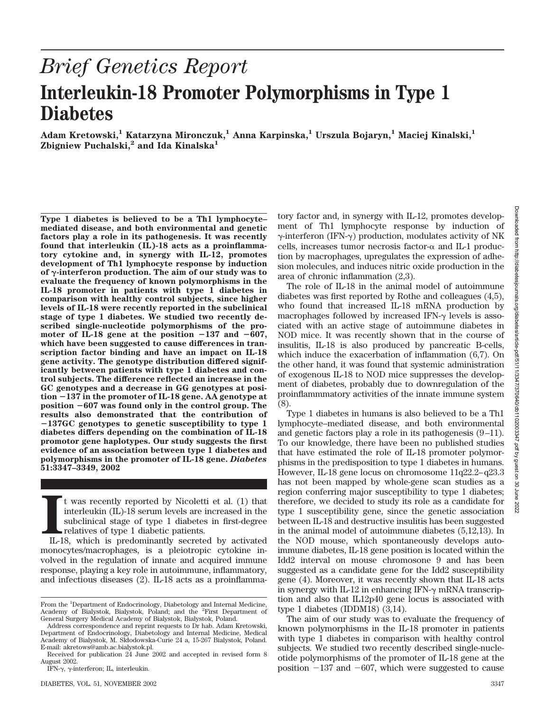## *Brief Genetics Report* **Interleukin-18 Promoter Polymorphisms in Type 1 Diabetes**

**Adam Kretowski,1 Katarzyna Mironczuk,1 Anna Karpinska,1 Urszula Bojaryn,1 Maciej Kinalski,1 Zbigniew Puchalski,2 and Ida Kinalska1**

**Type 1 diabetes is believed to be a Th1 lymphocyte– mediated disease, and both environmental and genetic factors play a role in its pathogenesis. It was recently found that interleukin (IL)-18 acts as a proinflammatory cytokine and, in synergy with IL-12, promotes development of Th1 lymphocyte response by induction of -interferon production. The aim of our study was to evaluate the frequency of known polymorphisms in the IL-18 promoter in patients with type 1 diabetes in comparison with healthy control subjects, since higher levels of IL-18 were recently reported in the subclinical stage of type 1 diabetes. We studied two recently described single-nucleotide polymorphisms of the pro**moter of IL-18 gene at the position  $-137$  and  $-607$ , **which have been suggested to cause differences in transcription factor binding and have an impact on IL-18 gene activity. The genotype distribution differed significantly between patients with type 1 diabetes and control subjects. The difference reflected an increase in the GC genotypes and a decrease in GG genotypes at position** -**137 in the promoter of IL-18 gene. AA genotype at position** -**607 was found only in the control group. The results also demonstrated that the contribution of** -**137GC genotypes to genetic susceptibility to type 1 diabetes differs depending on the combination of IL-18 promotor gene haplotypes. Our study suggests the first evidence of an association between type 1 diabetes and polymorphisms in the promoter of IL-18 gene.** *Diabetes* **51:3347–3349, 2002**

IL-18 serund by Nicoletti et al. (1) that<br>
interleukin (IL)-18 serum levels are increased in the<br>
subclinical stage of type 1 diabetes in first-degree<br>
relatives of type 1 diabetic patients.<br>
IL-18, which is predominantly t was recently reported by Nicoletti et al. (1) that interleukin (IL)-18 serum levels are increased in the subclinical stage of type 1 diabetes in first-degree relatives of type 1 diabetic patients.

monocytes/macrophages, is a pleiotropic cytokine involved in the regulation of innate and acquired immune response, playing a key role in autoimmune, inflammatory, and infectious diseases (2). IL-18 acts as a proinflammatory factor and, in synergy with IL-12, promotes development of Th1 lymphocyte response by induction of  $\gamma$ -interferon (IFN- $\gamma$ ) production, modulates activity of NK cells, increases tumor necrosis factor- $\alpha$  and IL-1 production by macrophages, upregulates the expression of adhesion molecules, and induces nitric oxide production in the area of chronic inflammation (2,3).

The role of IL-18 in the animal model of autoimmune diabetes was first reported by Rothe and colleagues (4,5), who found that increased IL-18 mRNA production by macrophages followed by increased IFN- $\gamma$  levels is associated with an active stage of autoimmune diabetes in NOD mice. It was recently shown that in the course of insulitis, IL-18 is also produced by pancreatic B-cells, which induce the exacerbation of inflammation (6,7). On the other hand, it was found that systemic administration of exogenous IL-18 to NOD mice suppresses the development of diabetes, probably due to downregulation of the proinflammmatory activities of the innate immune system (8).

Type 1 diabetes in humans is also believed to be a Th1 lymphocyte–mediated disease, and both environmental and genetic factors play a role in its pathogenesis (9–11). To our knowledge, there have been no published studies that have estimated the role of IL-18 promoter polymorphisms in the predisposition to type 1 diabetes in humans. However, IL-18 gene locus on chromosome 11q22.2–q23.3 has not been mapped by whole-gene scan studies as a region conferring major susceptibility to type 1 diabetes; therefore, we decided to study its role as a candidate for type 1 susceptibility gene, since the genetic association between IL-18 and destructive insulitis has been suggested in the animal model of autoimmune diabetes (5,12,13). In the NOD mouse, which spontaneously develops autoimmune diabetes, IL-18 gene position is located within the Idd2 interval on mouse chromosone 9 and has been suggested as a candidate gene for the Idd2 susceptibility gene (4). Moreover, it was recently shown that IL-18 acts in synergy with IL-12 in enhancing IFN- $\gamma$  mRNA transcription and also that IL12p40 gene locus is associated with type 1 diabetes (IDDM18) (3,14).

The aim of our study was to evaluate the frequency of known polymorphisms in the IL-18 promoter in patients with type 1 diabetes in comparison with healthy control subjects. We studied two recently described single-nucleotide polymorphisms of the promoter of IL-18 gene at the position  $-137$  and  $-607$ , which were suggested to cause

From the <sup>1</sup>Department of Endocrinology, Diabetology and Internal Medicine, Academy of Bialystok, Bialystok, Poland; and the <sup>2</sup> First Department of General Surgery Medical Academy of Bialystok, Bialystok, Poland.

Address correspondence and reprint requests to Dr hab. Adam Kretowski, Department of Endocrinology, Diabetology and Internal Medicine, Medical Academy of Bialystok, M. Skłodowska-Curie 24 a, 15-267 Bialystok, Poland. E-mail: akretows@amb.ac.bialystok.pl.

Received for publication 24 June 2002 and accepted in revised form 8 August 2002.

IFN- $\gamma$ ,  $\gamma$ -interferon; IL, interleukin.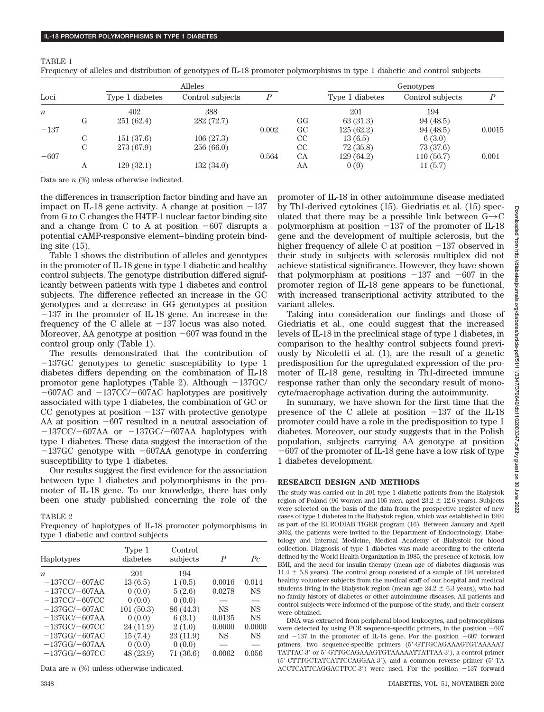|                  |   | Alleles         |                  |       |           | Genotypes       |                  |        |
|------------------|---|-----------------|------------------|-------|-----------|-----------------|------------------|--------|
| Loci             |   | Type 1 diabetes | Control subjects |       |           | Type 1 diabetes | Control subjects |        |
| $\boldsymbol{n}$ |   | 402             | 388              |       |           | 201             | 194              |        |
|                  | G | 251(62.4)       | 282(72.7)        |       | GG        | 63(31.3)        | 94(48.5)         |        |
| $-137$           |   |                 |                  | 0.002 | GC        | 125(62.2)       | 94 (48.5)        | 0.0015 |
|                  | С | 151(37.6)       | 106(27.3)        |       | CC        | 13(6.5)         | 6(3.0)           |        |
|                  | C | 273 (67.9)      | 256(66.0)        |       | CC        | 72 (35.8)       | 73 (37.6)        |        |
| $-607$           |   |                 |                  | 0.564 | <b>CA</b> | 129(64.2)       | 110(56.7)        | 0.001  |
|                  | Α | 129(32.1)       | 132(34.0)        |       | AA        | 0(0)            | 11 (5.7)         |        |

Frequency of alleles and distribution of genotypes of IL-18 promoter polymorphisms in type 1 diabetic and control subjects

Data are *n* (%) unless otherwise indicated.

TABLE 1

the differences in transcription factor binding and have an impact on IL-18 gene activity. A change at position  $-137$ from G to C changes the H4TF-1 nuclear factor binding site and a change from C to A at position  $-607$  disrupts a potential cAMP-responsive element–binding protein binding site (15).

Table 1 shows the distribution of alleles and genotypes in the promoter of IL-18 gene in type 1 diabetic and healthy control subjects. The genotype distribution differed significantly between patients with type 1 diabetes and control subjects. The difference reflected an increase in the GC genotypes and a decrease in GG genotypes at position  $-137$  in the promoter of IL-18 gene. An increase in the frequency of the C allele at  $-137$  locus was also noted. Moreover, AA genotype at position  $-607$  was found in the control group only (Table 1).

The results demonstrated that the contribution of  $-137$ GC genotypes to genetic susceptibility to type 1 diabetes differs depending on the combination of IL-18 promotor gene haplotypes (Table 2). Although  $-137$ GC/  $-607AC$  and  $-137CC/-607AC$  haplotypes are positively associated with type 1 diabetes, the combination of GC or CC genotypes at position  $-137$  with protective genotype AA at position  $-607$  resulted in a neutral association of  $-137CC/-607AA$  or  $-137GC/-607AA$  haplotypes with type 1 diabetes. These data suggest the interaction of the  $-137$ GC genotype with  $-607$ AA genotype in conferring susceptibility to type 1 diabetes.

Our results suggest the first evidence for the association between type 1 diabetes and polymorphisms in the promoter of IL-18 gene. To our knowledge, there has only been one study published concerning the role of the

TABLE 2

Frequency of haplotypes of IL-18 promoter polymorphisms in type 1 diabetic and control subjects

| Haplotypes           | Type 1<br>diabetes | Control<br>subjects | P         | $P_{c}$   |
|----------------------|--------------------|---------------------|-----------|-----------|
| $\boldsymbol{n}$     | 201                | 194                 |           |           |
| $-137CC/-607AC$      | 13(6.5)            | 1(0.5)              | 0.0016    | 0.014     |
| $-137CC/-607AA$      | 0(0.0)             | 5(2.6)              | 0.0278    | <b>NS</b> |
| $-137CC/-607CC$      | 0(0.0)             | 0(0.0)              |           |           |
| $-137$ GC/ $-607$ AC | 101(50.3)          | 86 (44.3)           | <b>NS</b> | <b>NS</b> |
| $-137$ GC/ $-607$ AA | 0(0.0)             | 6(3.1)              | 0.0135    | <b>NS</b> |
| $-137$ GC/ $-607$ CC | 24 (11.9)          | 2(1.0)              | 0.0000    | 0.0000    |
| $-137GG/-607AC$      | 15(7.4)            | 23(11.9)            | <b>NS</b> | <b>NS</b> |
| $-137GG/-607AA$      | 0(0.0)             | 0(0.0)              |           |           |
| $-137GG/-607CC$      | 48 (23.9)          | 71 (36.6)           | 0.0062    | 0.056     |

Data are *n* (%) unless otherwise indicated.

Downloaded from http://diabetesjournals.org/diabetes/article-pdf/51/11/334770640/db1102003347-pdf by guest on Downloaded from http://diabetesjournals.org/diabetes/article-pdf/51/11/3347/370640/db1102003347.pdf by guest on 30 June 2022

30 June 2022

promoter of IL-18 in other autoimmune disease mediated by Th1-derived cytokines (15). Giedriatis et al. (15) speculated that there may be a possible link between  $G\rightarrow C$ polymorphism at position  $-137$  of the promoter of IL-18 gene and the development of multiple sclerosis, but the higher frequency of allele C at position  $-137$  observed in their study in subjects with sclerosis multiplex did not achieve statistical significance. However, they have shown that polymorphism at positions  $-137$  and  $-607$  in the promoter region of IL-18 gene appears to be functional, with increased transcriptional activity attributed to the variant alleles.

Taking into consideration our findings and those of Giedriatis et al., one could suggest that the increased levels of IL-18 in the preclinical stage of type 1 diabetes, in comparison to the healthy control subjects found previously by Nicoletti et al. (1), are the result of a genetic predisposition for the upregulated expression of the promoter of IL-18 gene, resulting in Th1-directed immune response rather than only the secondary result of monocyte/macrophage activation during the autoimmunity.

In summary, we have shown for the first time that the presence of the C allele at position  $-137$  of the IL-18 promoter could have a role in the predisposition to type 1 diabetes. Moreover, our study suggests that in the Polish population, subjects carrying AA genotype at position  $-607$  of the promoter of IL-18 gene have a low risk of type 1 diabetes development.

## **RESEARCH DESIGN AND METHODS**

The study was carried out in 201 type 1 diabetic patients from the Bialystok region of Poland (96 women and 105 men, aged  $23.2 \pm 12.6$  years). Subjects were selected on the basis of the data from the prospective register of new cases of type 1 diabetes in the Bialystok region, which was established in 1994 as part of the EURODIAB TIGER program (16). Between January and April 2002, the patients were invited to the Department of Endocrinology, Diabetology and Internal Medicine, Medical Academy of Bialystok for blood collection. Diagnosis of type 1 diabetes was made according to the criteria defined by the World Health Organization in 1985, the presence of ketosis, low BMI, and the need for insulin therapy (mean age of diabetes diagnosis was  $11.4 \pm 5.8$  years). The control group consisted of a sample of 194 unrelated healthy volunteer subjects from the medical staff of our hospital and medical students living in the Bialystok region (mean age  $24.2 \pm 6.3$  years), who had no family history of diabetes or other autoimmune diseases. All patients and control subjects were informed of the purpose of the study, and their consent were obtained.

DNA was extracted from peripheral blood leukocytes, and polymorphisms were detected by using PCR sequence-specific primers, in the position  $-607$ and  $-137$  in the promoter of IL-18 gene. For the position  $-607$  forward primers, two sequence-specific primers (5-GTTGCAGAAAGTGTAAAAAT TATTAC-3' or 5'-GTTGCAGAAAGTGTAAAAATTATTAA-3'), a control primer (5-CTTTGCTATCATTCCAGGAA-3), and a common reverse primer (5-TA  $ACCTCATTCAGGACTTCC-3'$  were used. For the position  $-137$  forward